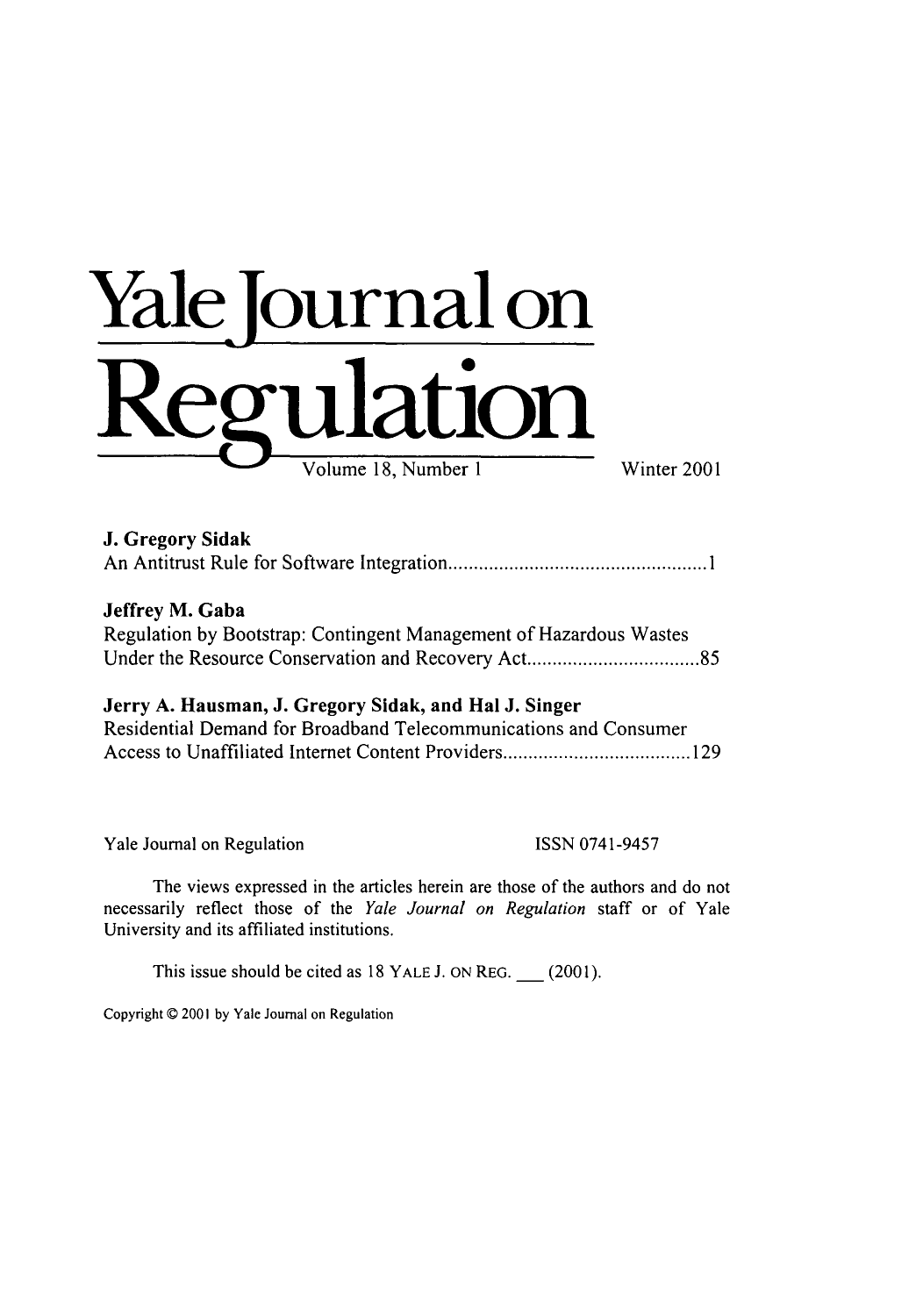# **Yale journal on** Regulation

| J. Gregory Sidak |  |
|------------------|--|
|                  |  |

### Jeffrey M. Gaba

Regulation by Bootstrap: Contingent Management of Hazardous Wastes Under the Resource Conservation and Recovery Act .............................. *85*

## Jerry **A.** Hausman, **J.** Gregory Sidak, and Hal **J.** Singer

| Residential Demand for Broadband Telecommunications and Consumer |  |
|------------------------------------------------------------------|--|
|                                                                  |  |

Yale Journal on Regulation ISSN 0741-9457

The views expressed in the articles herein are those of the authors and do not necessarily reflect those of the *Yale Journal on Regulation* staff or of Yale University and its affiliated institutions.

This issue should be cited as 18 YALE **J.** ON REG. **\_** (2001).

Copyright © 2001 by Yale Journal on Regulation